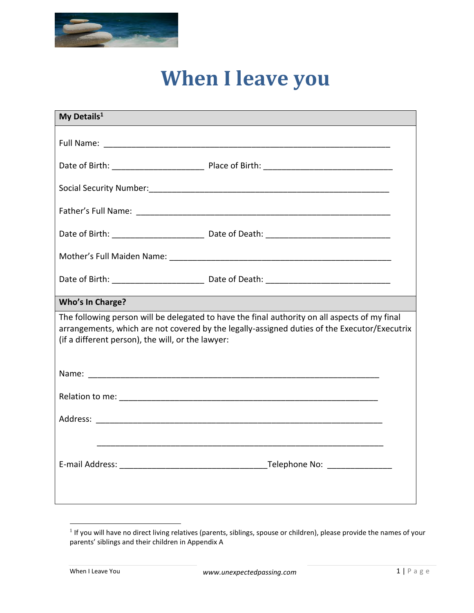

## **When I leave you**

| My Details <sup>1</sup>                                                                                                                                                                                                                            |  |  |
|----------------------------------------------------------------------------------------------------------------------------------------------------------------------------------------------------------------------------------------------------|--|--|
|                                                                                                                                                                                                                                                    |  |  |
|                                                                                                                                                                                                                                                    |  |  |
|                                                                                                                                                                                                                                                    |  |  |
|                                                                                                                                                                                                                                                    |  |  |
|                                                                                                                                                                                                                                                    |  |  |
|                                                                                                                                                                                                                                                    |  |  |
|                                                                                                                                                                                                                                                    |  |  |
| <b>Who's In Charge?</b>                                                                                                                                                                                                                            |  |  |
| The following person will be delegated to have the final authority on all aspects of my final<br>arrangements, which are not covered by the legally-assigned duties of the Executor/Executrix<br>(if a different person), the will, or the lawyer: |  |  |
|                                                                                                                                                                                                                                                    |  |  |
|                                                                                                                                                                                                                                                    |  |  |
|                                                                                                                                                                                                                                                    |  |  |
|                                                                                                                                                                                                                                                    |  |  |
|                                                                                                                                                                                                                                                    |  |  |
|                                                                                                                                                                                                                                                    |  |  |

 $\overline{a}$ 

 $<sup>1</sup>$  If you will have no direct living relatives (parents, siblings, spouse or children), please provide the names of your</sup> parents' siblings and their children in Appendix A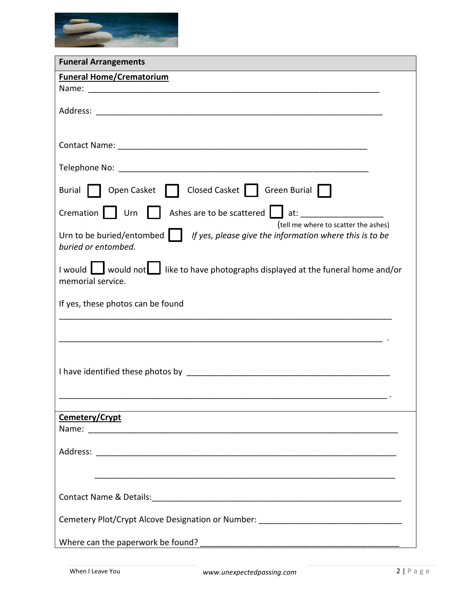

| <b>Funeral Arrangements</b>                                                                                                                                  |
|--------------------------------------------------------------------------------------------------------------------------------------------------------------|
| <b>Funeral Home/Crematorium</b>                                                                                                                              |
|                                                                                                                                                              |
|                                                                                                                                                              |
|                                                                                                                                                              |
|                                                                                                                                                              |
|                                                                                                                                                              |
| Burial   Open Casket     Closed Casket     Green Burial                                                                                                      |
| Cremation     Urn     Ashes are to be scattered   at: __________________________                                                                             |
| (tell me where to scatter the ashes)<br>Urn to be buried/entombed $\ \cdot\ $ If yes, please give the information where this is to be<br>buried or entombed. |
| I would <u>I</u> would not like to have photographs displayed at the funeral home and/or<br>memorial service.                                                |
| If yes, these photos can be found                                                                                                                            |
|                                                                                                                                                              |
|                                                                                                                                                              |
|                                                                                                                                                              |
|                                                                                                                                                              |
|                                                                                                                                                              |
| Cemetery/Crypt                                                                                                                                               |
|                                                                                                                                                              |
|                                                                                                                                                              |
|                                                                                                                                                              |
|                                                                                                                                                              |
| Cemetery Plot/Crypt Alcove Designation or Number: ______________________________                                                                             |
|                                                                                                                                                              |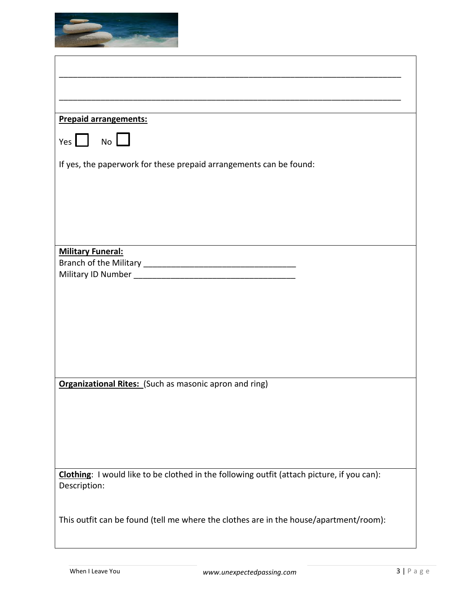

| <b>Prepaid arrangements:</b>                                                                               |
|------------------------------------------------------------------------------------------------------------|
| Yes   No                                                                                                   |
| If yes, the paperwork for these prepaid arrangements can be found:                                         |
|                                                                                                            |
|                                                                                                            |
|                                                                                                            |
|                                                                                                            |
|                                                                                                            |
|                                                                                                            |
| <b>Military Funeral:</b>                                                                                   |
|                                                                                                            |
|                                                                                                            |
|                                                                                                            |
|                                                                                                            |
|                                                                                                            |
|                                                                                                            |
|                                                                                                            |
|                                                                                                            |
|                                                                                                            |
| <b>Organizational Rites:</b> (Such as masonic apron and ring)                                              |
|                                                                                                            |
|                                                                                                            |
|                                                                                                            |
|                                                                                                            |
|                                                                                                            |
|                                                                                                            |
| Clothing: I would like to be clothed in the following outfit (attach picture, if you can):<br>Description: |
|                                                                                                            |
| This outfit can be found (tell me where the clothes are in the house/apartment/room):                      |
|                                                                                                            |
|                                                                                                            |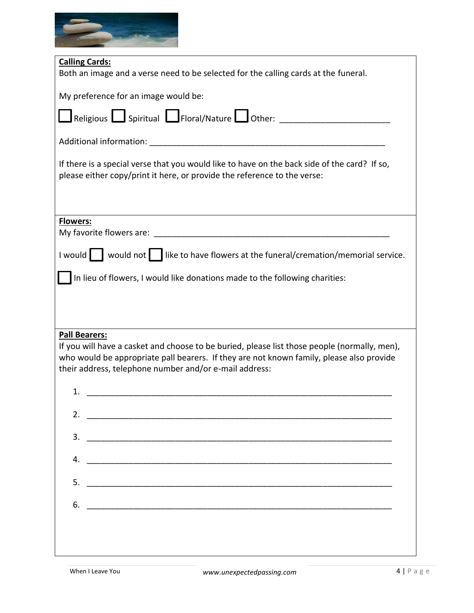

| <b>Calling Cards:</b><br>Both an image and a verse need to be selected for the calling cards at the funeral.                                                                                                                                                               |  |  |  |
|----------------------------------------------------------------------------------------------------------------------------------------------------------------------------------------------------------------------------------------------------------------------------|--|--|--|
| My preference for an image would be:                                                                                                                                                                                                                                       |  |  |  |
|                                                                                                                                                                                                                                                                            |  |  |  |
|                                                                                                                                                                                                                                                                            |  |  |  |
| If there is a special verse that you would like to have on the back side of the card? If so,<br>please either copy/print it here, or provide the reference to the verse:                                                                                                   |  |  |  |
|                                                                                                                                                                                                                                                                            |  |  |  |
| <b>Flowers:</b>                                                                                                                                                                                                                                                            |  |  |  |
| I would $\begin{bmatrix} \end{bmatrix}$ would not $\begin{bmatrix} \end{bmatrix}$ like to have flowers at the funeral/cremation/memorial service.                                                                                                                          |  |  |  |
| In lieu of flowers, I would like donations made to the following charities:                                                                                                                                                                                                |  |  |  |
|                                                                                                                                                                                                                                                                            |  |  |  |
|                                                                                                                                                                                                                                                                            |  |  |  |
| <b>Pall Bearers:</b><br>If you will have a casket and choose to be buried, please list those people (normally, men),<br>who would be appropriate pall bearers. If they are not known family, please also provide<br>their address, telephone number and/or e-mail address: |  |  |  |
| 1.<br><u> 1980 - Jan Barnett, fransk politik (d. 1980)</u>                                                                                                                                                                                                                 |  |  |  |
| 2. $\overline{\phantom{a}}$                                                                                                                                                                                                                                                |  |  |  |
| 3.                                                                                                                                                                                                                                                                         |  |  |  |
| 4.                                                                                                                                                                                                                                                                         |  |  |  |
| 5.                                                                                                                                                                                                                                                                         |  |  |  |
|                                                                                                                                                                                                                                                                            |  |  |  |
| 6.                                                                                                                                                                                                                                                                         |  |  |  |
|                                                                                                                                                                                                                                                                            |  |  |  |
|                                                                                                                                                                                                                                                                            |  |  |  |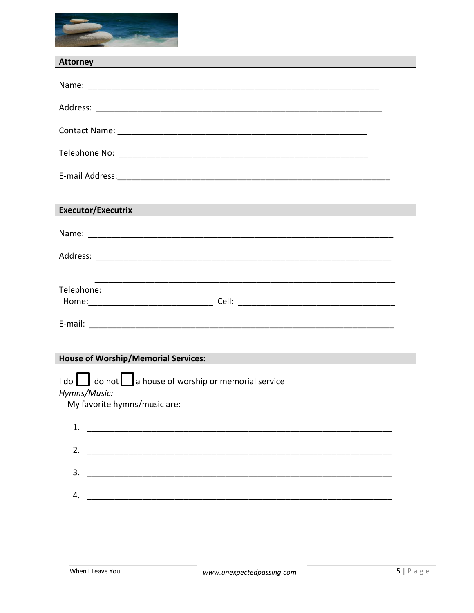

| <b>Attorney</b><br><u> 1989 - Andrea Santa Galile, ann an t-Ann an t-Ann an t-Ann an t-Ann an t-Ann an t-Ann an t-Ann an t-Ann an t-A</u> |
|-------------------------------------------------------------------------------------------------------------------------------------------|
|                                                                                                                                           |
|                                                                                                                                           |
|                                                                                                                                           |
|                                                                                                                                           |
|                                                                                                                                           |
|                                                                                                                                           |
|                                                                                                                                           |
|                                                                                                                                           |
|                                                                                                                                           |
| <b>Executor/Executrix</b>                                                                                                                 |
|                                                                                                                                           |
|                                                                                                                                           |
|                                                                                                                                           |
|                                                                                                                                           |
| <u> 1980 - Johann John Stone, markin film ar yn y brenin y brenin y brenin y brenin y brenin y brenin y brenin y</u>                      |
| Telephone:                                                                                                                                |
|                                                                                                                                           |
|                                                                                                                                           |
|                                                                                                                                           |
| <b>House of Worship/Memorial Services:</b>                                                                                                |
|                                                                                                                                           |
| I do   do not   a house of worship or memorial service<br>Hymns/Music:                                                                    |
| My favorite hymns/music are:                                                                                                              |
|                                                                                                                                           |
| 1. $\overline{\phantom{a}}$                                                                                                               |
|                                                                                                                                           |
|                                                                                                                                           |
| $3.$ $\overline{\phantom{a}}$                                                                                                             |
| 4.                                                                                                                                        |
|                                                                                                                                           |
|                                                                                                                                           |
|                                                                                                                                           |
|                                                                                                                                           |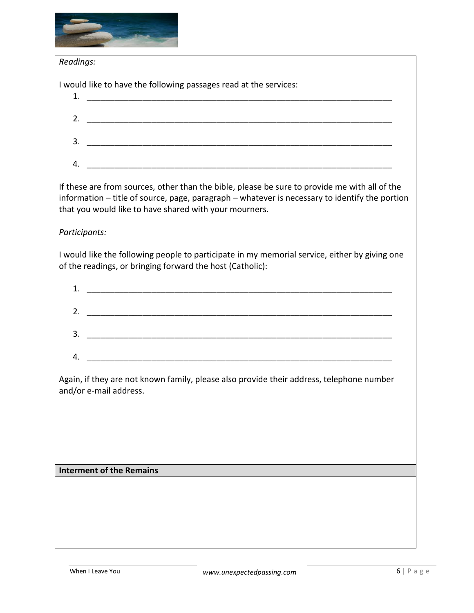

| information - title of source, page, paragraph - whatever is necessary to identify the portion |
|------------------------------------------------------------------------------------------------|
|                                                                                                |
|                                                                                                |
|                                                                                                |
|                                                                                                |
|                                                                                                |
|                                                                                                |
|                                                                                                |
|                                                                                                |
|                                                                                                |
|                                                                                                |
|                                                                                                |
|                                                                                                |
|                                                                                                |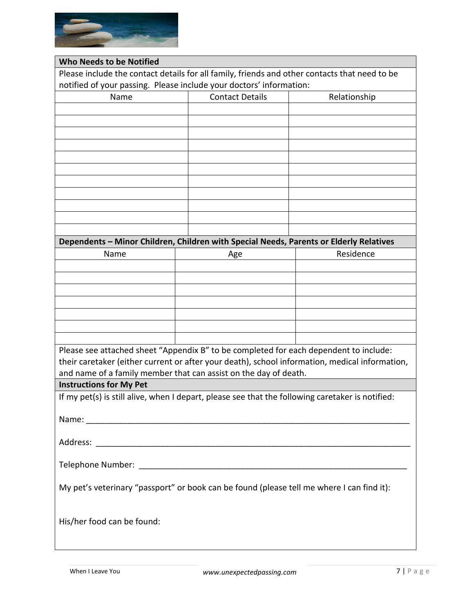

| <b>Who Needs to be Notified</b>                                                                  |  |                        |  |              |
|--------------------------------------------------------------------------------------------------|--|------------------------|--|--------------|
| Please include the contact details for all family, friends and other contacts that need to be    |  |                        |  |              |
| notified of your passing. Please include your doctors' information:                              |  |                        |  |              |
| Name                                                                                             |  | <b>Contact Details</b> |  | Relationship |
|                                                                                                  |  |                        |  |              |
|                                                                                                  |  |                        |  |              |
|                                                                                                  |  |                        |  |              |
|                                                                                                  |  |                        |  |              |
|                                                                                                  |  |                        |  |              |
|                                                                                                  |  |                        |  |              |
|                                                                                                  |  |                        |  |              |
|                                                                                                  |  |                        |  |              |
|                                                                                                  |  |                        |  |              |
|                                                                                                  |  |                        |  |              |
|                                                                                                  |  |                        |  |              |
| Dependents - Minor Children, Children with Special Needs, Parents or Elderly Relatives           |  |                        |  |              |
| Name                                                                                             |  | Age                    |  | Residence    |
|                                                                                                  |  |                        |  |              |
|                                                                                                  |  |                        |  |              |
|                                                                                                  |  |                        |  |              |
|                                                                                                  |  |                        |  |              |
|                                                                                                  |  |                        |  |              |
|                                                                                                  |  |                        |  |              |
|                                                                                                  |  |                        |  |              |
| Please see attached sheet "Appendix B" to be completed for each dependent to include:            |  |                        |  |              |
| their caretaker (either current or after your death), school information, medical information,   |  |                        |  |              |
| and name of a family member that can assist on the day of death.                                 |  |                        |  |              |
| <b>Instructions for My Pet</b>                                                                   |  |                        |  |              |
| If my pet(s) is still alive, when I depart, please see that the following caretaker is notified: |  |                        |  |              |
|                                                                                                  |  |                        |  |              |
|                                                                                                  |  |                        |  |              |
|                                                                                                  |  |                        |  |              |
|                                                                                                  |  |                        |  |              |
|                                                                                                  |  |                        |  |              |
|                                                                                                  |  |                        |  |              |
| My pet's veterinary "passport" or book can be found (please tell me where I can find it):        |  |                        |  |              |
|                                                                                                  |  |                        |  |              |
|                                                                                                  |  |                        |  |              |
| His/her food can be found:                                                                       |  |                        |  |              |
|                                                                                                  |  |                        |  |              |
|                                                                                                  |  |                        |  |              |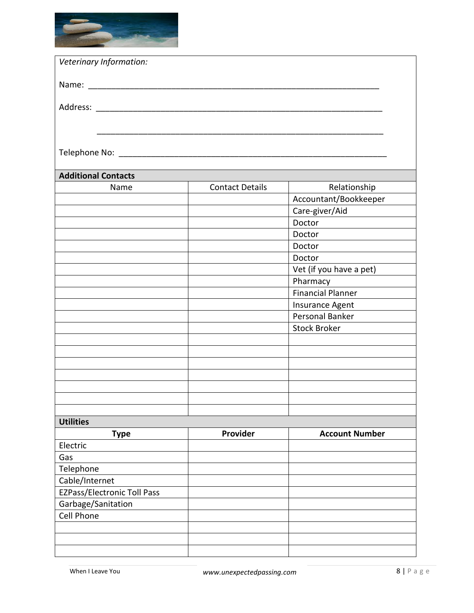

| Veterinary Information:            |                        |                          |
|------------------------------------|------------------------|--------------------------|
|                                    |                        |                          |
|                                    |                        |                          |
|                                    |                        |                          |
|                                    |                        |                          |
|                                    |                        |                          |
|                                    |                        |                          |
| <b>Additional Contacts</b>         |                        |                          |
| Name                               | <b>Contact Details</b> | Relationship             |
|                                    |                        | Accountant/Bookkeeper    |
|                                    |                        | Care-giver/Aid<br>Doctor |
|                                    |                        | Doctor                   |
|                                    |                        | Doctor                   |
|                                    |                        | Doctor                   |
|                                    |                        | Vet (if you have a pet)  |
|                                    |                        | Pharmacy                 |
|                                    |                        | <b>Financial Planner</b> |
|                                    |                        | Insurance Agent          |
|                                    |                        | Personal Banker          |
|                                    |                        | <b>Stock Broker</b>      |
|                                    |                        |                          |
|                                    |                        |                          |
|                                    |                        |                          |
|                                    |                        |                          |
|                                    |                        |                          |
|                                    |                        |                          |
|                                    |                        |                          |
| <b>Utilities</b>                   |                        |                          |
| <b>Type</b>                        | Provider               | <b>Account Number</b>    |
| Electric                           |                        |                          |
| Gas                                |                        |                          |
| Telephone                          |                        |                          |
| Cable/Internet                     |                        |                          |
| <b>EZPass/Electronic Toll Pass</b> |                        |                          |
| Garbage/Sanitation                 |                        |                          |
| Cell Phone                         |                        |                          |
|                                    |                        |                          |
|                                    |                        |                          |
|                                    |                        |                          |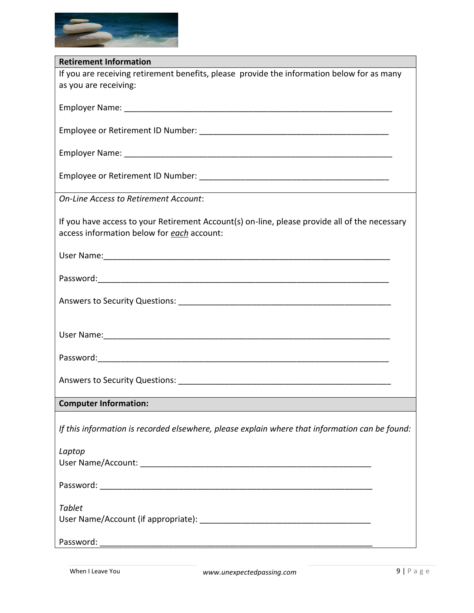

| <b>Retirement Information</b>                                                                  |
|------------------------------------------------------------------------------------------------|
| If you are receiving retirement benefits, please provide the information below for as many     |
| as you are receiving:                                                                          |
|                                                                                                |
|                                                                                                |
|                                                                                                |
|                                                                                                |
|                                                                                                |
|                                                                                                |
|                                                                                                |
|                                                                                                |
|                                                                                                |
|                                                                                                |
| <b>On-Line Access to Retirement Account:</b>                                                   |
|                                                                                                |
| If you have access to your Retirement Account(s) on-line, please provide all of the necessary  |
|                                                                                                |
| access information below for each account:                                                     |
|                                                                                                |
|                                                                                                |
|                                                                                                |
|                                                                                                |
|                                                                                                |
|                                                                                                |
|                                                                                                |
|                                                                                                |
|                                                                                                |
|                                                                                                |
|                                                                                                |
|                                                                                                |
|                                                                                                |
|                                                                                                |
|                                                                                                |
| <b>Computer Information:</b>                                                                   |
|                                                                                                |
|                                                                                                |
| If this information is recorded elsewhere, please explain where that information can be found: |
|                                                                                                |
| Laptop                                                                                         |
|                                                                                                |
|                                                                                                |
|                                                                                                |
|                                                                                                |
|                                                                                                |
| <b>Tablet</b>                                                                                  |
|                                                                                                |
|                                                                                                |
|                                                                                                |
|                                                                                                |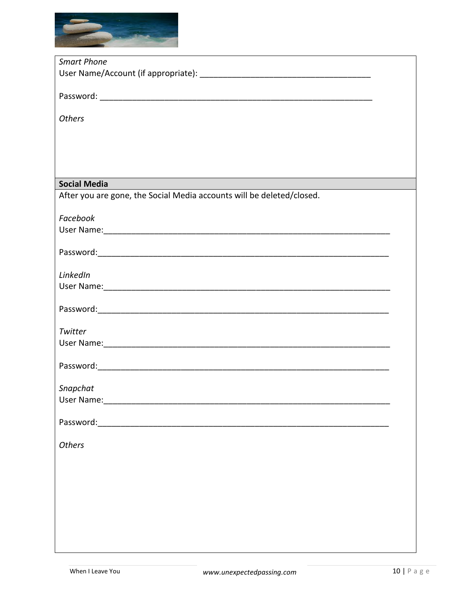

| <b>Smart Phone</b>                                                    |  |
|-----------------------------------------------------------------------|--|
|                                                                       |  |
|                                                                       |  |
|                                                                       |  |
|                                                                       |  |
|                                                                       |  |
| <b>Others</b>                                                         |  |
|                                                                       |  |
|                                                                       |  |
|                                                                       |  |
|                                                                       |  |
|                                                                       |  |
| <b>Social Media</b>                                                   |  |
| After you are gone, the Social Media accounts will be deleted/closed. |  |
|                                                                       |  |
| Facebook                                                              |  |
|                                                                       |  |
|                                                                       |  |
|                                                                       |  |
|                                                                       |  |
|                                                                       |  |
| LinkedIn                                                              |  |
|                                                                       |  |
|                                                                       |  |
|                                                                       |  |
|                                                                       |  |
|                                                                       |  |
| Twitter                                                               |  |
|                                                                       |  |
|                                                                       |  |
|                                                                       |  |
|                                                                       |  |
| Snapchat                                                              |  |
|                                                                       |  |
|                                                                       |  |
|                                                                       |  |
|                                                                       |  |
|                                                                       |  |
| <b>Others</b>                                                         |  |
|                                                                       |  |
|                                                                       |  |
|                                                                       |  |
|                                                                       |  |
|                                                                       |  |
|                                                                       |  |
|                                                                       |  |
|                                                                       |  |
|                                                                       |  |
|                                                                       |  |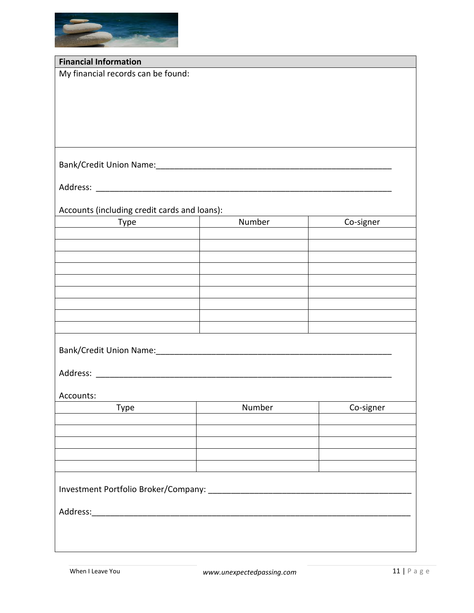

| <b>Financial Information</b>                 |                                         |           |
|----------------------------------------------|-----------------------------------------|-----------|
| My financial records can be found:           |                                         |           |
|                                              |                                         |           |
|                                              |                                         |           |
|                                              |                                         |           |
|                                              |                                         |           |
|                                              |                                         |           |
|                                              |                                         |           |
|                                              |                                         |           |
|                                              |                                         |           |
|                                              |                                         |           |
|                                              |                                         |           |
| Accounts (including credit cards and loans): |                                         |           |
| Type                                         | Number<br>$\mathbf{I}$ and $\mathbf{I}$ | Co-signer |
|                                              |                                         |           |
|                                              |                                         |           |
|                                              |                                         |           |
|                                              |                                         |           |
|                                              |                                         |           |
|                                              |                                         |           |
|                                              |                                         |           |
|                                              |                                         |           |
|                                              |                                         |           |
|                                              |                                         |           |
|                                              |                                         |           |
|                                              |                                         |           |
|                                              |                                         |           |
| Accounts:                                    |                                         |           |
| Type                                         | Number                                  | Co-signer |
|                                              |                                         |           |
|                                              |                                         |           |
|                                              |                                         |           |
|                                              |                                         |           |
|                                              |                                         |           |
|                                              |                                         |           |
|                                              |                                         |           |
|                                              |                                         |           |
|                                              |                                         |           |
|                                              |                                         |           |
|                                              |                                         |           |
|                                              |                                         |           |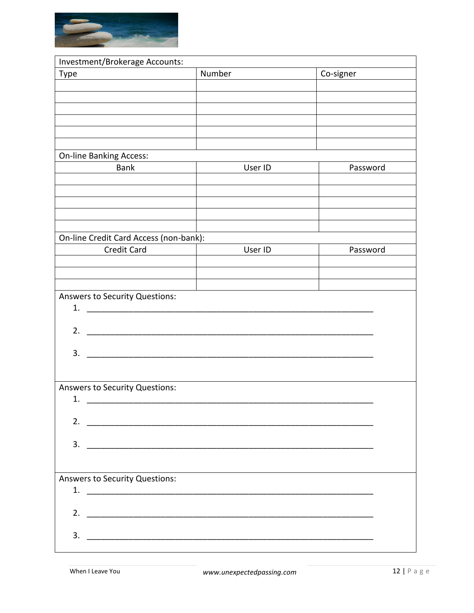

| Number<br>Co-signer<br><b>Type</b><br><b>On-line Banking Access:</b><br>User ID<br><b>Bank</b><br>Password<br>On-line Credit Card Access (non-bank):<br><b>Credit Card</b><br>User ID<br>Password<br><b>Answers to Security Questions:</b><br>1.<br>2.<br>3.<br>Answers to Security Questions:<br>1.<br>2.<br>3.<br><b>Answers to Security Questions:</b><br>3. | Investment/Brokerage Accounts: |  |  |  |
|-----------------------------------------------------------------------------------------------------------------------------------------------------------------------------------------------------------------------------------------------------------------------------------------------------------------------------------------------------------------|--------------------------------|--|--|--|
|                                                                                                                                                                                                                                                                                                                                                                 |                                |  |  |  |
|                                                                                                                                                                                                                                                                                                                                                                 |                                |  |  |  |
|                                                                                                                                                                                                                                                                                                                                                                 |                                |  |  |  |
|                                                                                                                                                                                                                                                                                                                                                                 |                                |  |  |  |
|                                                                                                                                                                                                                                                                                                                                                                 |                                |  |  |  |
|                                                                                                                                                                                                                                                                                                                                                                 |                                |  |  |  |
|                                                                                                                                                                                                                                                                                                                                                                 |                                |  |  |  |
|                                                                                                                                                                                                                                                                                                                                                                 |                                |  |  |  |
|                                                                                                                                                                                                                                                                                                                                                                 |                                |  |  |  |
|                                                                                                                                                                                                                                                                                                                                                                 |                                |  |  |  |
|                                                                                                                                                                                                                                                                                                                                                                 |                                |  |  |  |
|                                                                                                                                                                                                                                                                                                                                                                 |                                |  |  |  |
|                                                                                                                                                                                                                                                                                                                                                                 |                                |  |  |  |
|                                                                                                                                                                                                                                                                                                                                                                 |                                |  |  |  |
|                                                                                                                                                                                                                                                                                                                                                                 |                                |  |  |  |
|                                                                                                                                                                                                                                                                                                                                                                 |                                |  |  |  |
|                                                                                                                                                                                                                                                                                                                                                                 |                                |  |  |  |
|                                                                                                                                                                                                                                                                                                                                                                 |                                |  |  |  |
|                                                                                                                                                                                                                                                                                                                                                                 |                                |  |  |  |
|                                                                                                                                                                                                                                                                                                                                                                 |                                |  |  |  |
|                                                                                                                                                                                                                                                                                                                                                                 |                                |  |  |  |
|                                                                                                                                                                                                                                                                                                                                                                 |                                |  |  |  |
|                                                                                                                                                                                                                                                                                                                                                                 |                                |  |  |  |
|                                                                                                                                                                                                                                                                                                                                                                 |                                |  |  |  |
|                                                                                                                                                                                                                                                                                                                                                                 |                                |  |  |  |
|                                                                                                                                                                                                                                                                                                                                                                 |                                |  |  |  |
|                                                                                                                                                                                                                                                                                                                                                                 |                                |  |  |  |
|                                                                                                                                                                                                                                                                                                                                                                 |                                |  |  |  |
|                                                                                                                                                                                                                                                                                                                                                                 |                                |  |  |  |
|                                                                                                                                                                                                                                                                                                                                                                 |                                |  |  |  |
|                                                                                                                                                                                                                                                                                                                                                                 |                                |  |  |  |
|                                                                                                                                                                                                                                                                                                                                                                 |                                |  |  |  |
|                                                                                                                                                                                                                                                                                                                                                                 |                                |  |  |  |
|                                                                                                                                                                                                                                                                                                                                                                 |                                |  |  |  |
|                                                                                                                                                                                                                                                                                                                                                                 |                                |  |  |  |
|                                                                                                                                                                                                                                                                                                                                                                 |                                |  |  |  |
|                                                                                                                                                                                                                                                                                                                                                                 |                                |  |  |  |
|                                                                                                                                                                                                                                                                                                                                                                 |                                |  |  |  |
|                                                                                                                                                                                                                                                                                                                                                                 |                                |  |  |  |
|                                                                                                                                                                                                                                                                                                                                                                 |                                |  |  |  |
|                                                                                                                                                                                                                                                                                                                                                                 |                                |  |  |  |
|                                                                                                                                                                                                                                                                                                                                                                 |                                |  |  |  |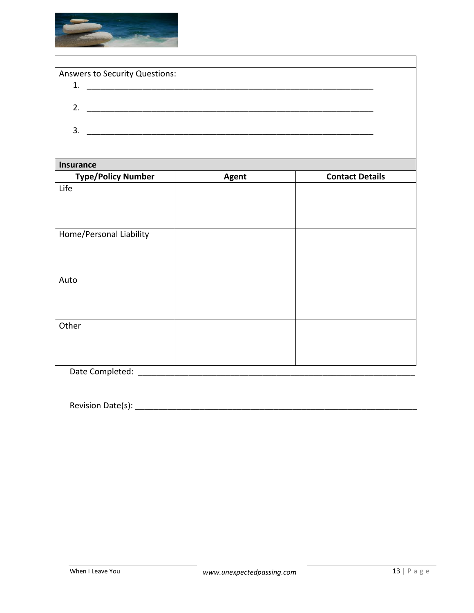

|    | <b>Answers to Security Questions:</b> |  |
|----|---------------------------------------|--|
|    |                                       |  |
|    |                                       |  |
| 3. |                                       |  |
|    |                                       |  |

## **Insurance**

| <b>Type/Policy Number</b> | <b>Agent</b> | <b>Contact Details</b> |  |
|---------------------------|--------------|------------------------|--|
| Life                      |              |                        |  |
|                           |              |                        |  |
|                           |              |                        |  |
|                           |              |                        |  |
| Home/Personal Liability   |              |                        |  |
|                           |              |                        |  |
|                           |              |                        |  |
|                           |              |                        |  |
| Auto                      |              |                        |  |
|                           |              |                        |  |
|                           |              |                        |  |
|                           |              |                        |  |
| Other                     |              |                        |  |
|                           |              |                        |  |
|                           |              |                        |  |
|                           |              |                        |  |
| Date Completed:           |              |                        |  |

Revision Date(s): \_\_\_\_\_\_\_\_\_\_\_\_\_\_\_\_\_\_\_\_\_\_\_\_\_\_\_\_\_\_\_\_\_\_\_\_\_\_\_\_\_\_\_\_\_\_\_\_\_\_\_\_\_\_\_\_\_\_\_\_\_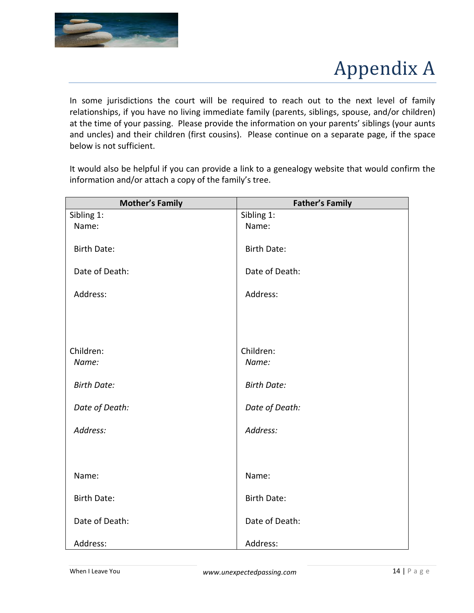

## Appendix A

In some jurisdictions the court will be required to reach out to the next level of family relationships, if you have no living immediate family (parents, siblings, spouse, and/or children) at the time of your passing. Please provide the information on your parents' siblings (your aunts and uncles) and their children (first cousins). Please continue on a separate page, if the space below is not sufficient.

It would also be helpful if you can provide a link to a genealogy website that would confirm the information and/or attach a copy of the family's tree.

| <b>Mother's Family</b> | <b>Father's Family</b> |
|------------------------|------------------------|
| Sibling 1:             | Sibling 1:             |
| Name:                  | Name:                  |
|                        |                        |
| <b>Birth Date:</b>     | <b>Birth Date:</b>     |
|                        |                        |
| Date of Death:         | Date of Death:         |
|                        |                        |
| Address:               | Address:               |
|                        |                        |
|                        |                        |
|                        |                        |
|                        |                        |
| Children:              | Children:              |
| Name:                  | Name:                  |
|                        |                        |
| <b>Birth Date:</b>     | <b>Birth Date:</b>     |
|                        |                        |
| Date of Death:         | Date of Death:         |
|                        |                        |
| Address:               | Address:               |
|                        |                        |
|                        |                        |
| Name:                  | Name:                  |
|                        |                        |
| <b>Birth Date:</b>     | <b>Birth Date:</b>     |
|                        |                        |
| Date of Death:         | Date of Death:         |
|                        |                        |
| Address:               | Address:               |
|                        |                        |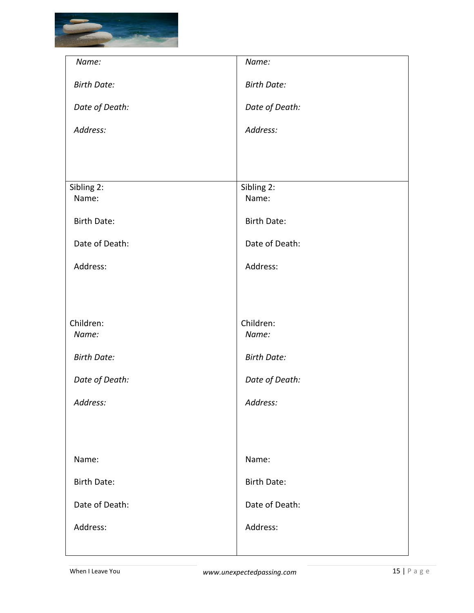

| Name:               | Name:               |
|---------------------|---------------------|
| <b>Birth Date:</b>  | <b>Birth Date:</b>  |
| Date of Death:      | Date of Death:      |
| Address:            | Address:            |
|                     |                     |
|                     |                     |
| Sibling 2:<br>Name: | Sibling 2:<br>Name: |
| <b>Birth Date:</b>  | <b>Birth Date:</b>  |
| Date of Death:      | Date of Death:      |
| Address:            | Address:            |
|                     |                     |
|                     |                     |
| Children:<br>Name:  | Children:<br>Name:  |
| <b>Birth Date:</b>  | <b>Birth Date:</b>  |
| Date of Death:      | Date of Death:      |
| Address:            | Address:            |
|                     |                     |
| Name:               | Name:               |
| <b>Birth Date:</b>  | <b>Birth Date:</b>  |
|                     |                     |
| Date of Death:      | Date of Death:      |
| Address:            | Address:            |
|                     |                     |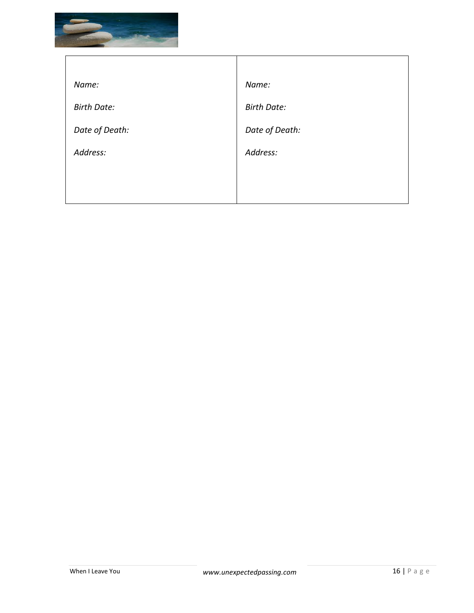

| Name:              | Name:              |
|--------------------|--------------------|
| <b>Birth Date:</b> | <b>Birth Date:</b> |
| Date of Death:     | Date of Death:     |
| Address:           | Address:           |
|                    |                    |
|                    |                    |

 $\top$ 

٦